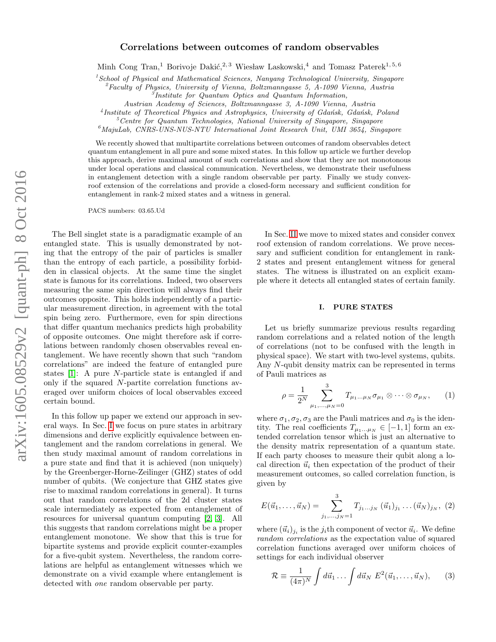# Correlations between outcomes of random observables

Minh Cong Tran,<sup>1</sup> Borivoje Dakić,<sup>2, 3</sup> Wiesław Laskowski,<sup>4</sup> and Tomasz Paterek<sup>1, 5, 6</sup>

 $<sup>1</sup> School of Physical and Mathematical Sciences, Nanyang Technical University, Singapore$ </sup>

 ${}^{2}$ Faculty of Physics, University of Vienna, Boltzmanngasse 5, A-1090 Vienna, Austria

3 Institute for Quantum Optics and Quantum Information,

Austrian Academy of Sciences, Boltzmanngasse 3, A-1090 Vienna, Austria

<sup>4</sup> Institute of Theoretical Physics and Astrophysics, University of Gdańsk, Gdańsk, Poland

 ${}^{5}$ Centre for Quantum Technologies, National University of Singapore, Singapore

 $^6$ MajuLab, CNRS-UNS-NUS-NTU International Joint Research Unit, UMI 3654, Singapore

We recently showed that multipartite correlations between outcomes of random observables detect quantum entanglement in all pure and some mixed states. In this follow up article we further develop this approach, derive maximal amount of such correlations and show that they are not monotonous under local operations and classical communication. Nevertheless, we demonstrate their usefulness in entanglement detection with a single random observable per party. Finally we study convexroof extension of the correlations and provide a closed-form necessary and sufficient condition for entanglement in rank-2 mixed states and a witness in general.

PACS numbers: 03.65.Ud

The Bell singlet state is a paradigmatic example of an entangled state. This is usually demonstrated by noting that the entropy of the pair of particles is smaller than the entropy of each particle, a possibility forbidden in classical objects. At the same time the singlet state is famous for its correlations. Indeed, two observers measuring the same spin direction will always find their outcomes opposite. This holds independently of a particular measurement direction, in agreement with the total spin being zero. Furthermore, even for spin directions that differ quantum mechanics predicts high probability of opposite outcomes. One might therefore ask if correlations between randomly chosen observables reveal entanglement. We have recently shown that such "random correlations" are indeed the feature of entangled pure states [\[1\]](#page-9-0): A pure N-particle state is entangled if and only if the squared N-partite correlation functions averaged over uniform choices of local observables exceed certain bound.

In this follow up paper we extend our approach in several ways. In Sec. [I](#page-0-0) we focus on pure states in arbitrary dimensions and derive explicitly equivalence between entanglement and the random correlations in general. We then study maximal amount of random correlations in a pure state and find that it is achieved (non uniquely) by the Greenberger-Horne-Zeilinger (GHZ) states of odd number of qubits. (We conjecture that GHZ states give rise to maximal random correlations in general). It turns out that random correlations of the 2d cluster states scale intermediately as expected from entanglement of resources for universal quantum computing [\[2,](#page-9-1) [3\]](#page-9-2). All this suggests that random correlations might be a proper entanglement monotone. We show that this is true for bipartite systems and provide explicit counter-examples for a five-qubit system. Nevertheless, the random correlations are helpful as entanglement witnesses which we demonstrate on a vivid example where entanglement is detected with one random observable per party.

In Sec. [II](#page-4-0) we move to mixed states and consider convex roof extension of random correlations. We prove necessary and sufficient condition for entanglement in rank-2 states and present entanglement witness for general states. The witness is illustrated on an explicit example where it detects all entangled states of certain family.

# <span id="page-0-0"></span>I. PURE STATES

Let us briefly summarize previous results regarding random correlations and a related notion of the length of correlations (not to be confused with the length in physical space). We start with two-level systems, qubits. Any N-qubit density matrix can be represented in terms of Pauli matrices as

$$
\rho = \frac{1}{2^N} \sum_{\mu_1, ..., \mu_N = 0}^{3} T_{\mu_1 ... \mu_N} \sigma_{\mu_1} \otimes \cdots \otimes \sigma_{\mu_N}, \qquad (1)
$$

where  $\sigma_1, \sigma_2, \sigma_3$  are the Pauli matrices and  $\sigma_0$  is the identity. The real coefficients  $T_{\mu_1...\mu_N} \in [-1,1]$  form an extended correlation tensor which is just an alternative to the density matrix representation of a quantum state. If each party chooses to measure their qubit along a local direction  $\vec{u}_i$  then expectation of the product of their measurement outcomes, so called correlation function, is given by

$$
E(\vec{u}_1,\ldots,\vec{u}_N) = \sum_{j_1,\ldots,j_N=1}^3 T_{j_1\ldots j_N} (\vec{u}_1)_{j_1}\ldots(\vec{u}_N)_{j_N}, (2)
$$

where  $(\vec{u}_i)_{j_i}$  is the  $j_i$ th component of vector  $\vec{u}_i$ . We define random correlations as the expectation value of squared correlation functions averaged over uniform choices of settings for each individual observer

$$
\mathcal{R} \equiv \frac{1}{(4\pi)^N} \int d\vec{u}_1 \dots \int d\vec{u}_N \ E^2(\vec{u}_1, \dots, \vec{u}_N), \qquad (3)
$$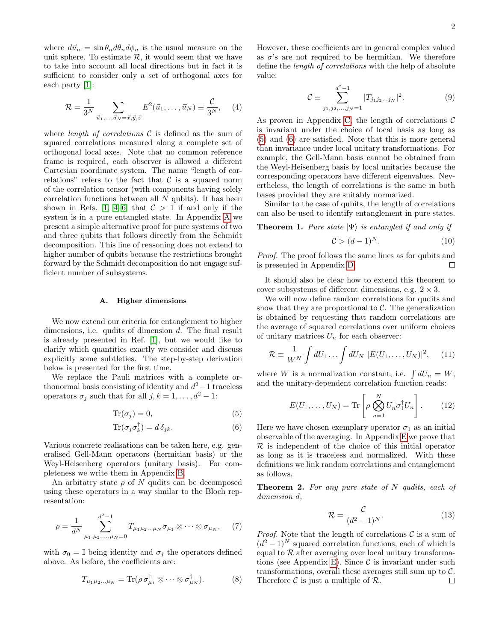where  $d\vec{u}_n = \sin \theta_n d\theta_n d\phi_n$  is the usual measure on the unit sphere. To estimate  $R$ , it would seem that we have to take into account all local directions but in fact it is sufficient to consider only a set of orthogonal axes for each party [\[1\]](#page-9-0):

$$
\mathcal{R} = \frac{1}{3^N} \sum_{\vec{u}_1, ..., \vec{u}_N = \vec{x}, \vec{y}, \vec{z}} E^2(\vec{u}_1, ..., \vec{u}_N) \equiv \frac{\mathcal{C}}{3^N}, \quad (4)
$$

where *length of correlations*  $C$  is defined as the sum of squared correlations measured along a complete set of orthogonal local axes. Note that no common reference frame is required, each observer is allowed a different Cartesian coordinate system. The name "length of correlations" refers to the fact that  $\mathcal C$  is a squared norm of the correlation tensor (with components having solely correlation functions between all N qubits). It has been shown in Refs. [\[1,](#page-9-0) [4](#page-9-3)[–6\]](#page-9-4) that  $C > 1$  if and only if the system is in a pure entangled state. In Appendix [A](#page-5-0) we present a simple alternative proof for pure systems of two and three qubits that follows directly from the Schmidt decomposition. This line of reasoning does not extend to higher number of qubits because the restrictions brought forward by the Schmidt decomposition do not engage sufficient number of subsystems.

### A. Higher dimensions

We now extend our criteria for entanglement to higher dimensions, i.e. qudits of dimension d. The final result is already presented in Ref. [\[1\]](#page-9-0), but we would like to clarify which quantities exactly we consider and discuss explicitly some subtleties. The step-by-step derivation below is presented for the first time.

We replace the Pauli matrices with a complete orthonormal basis consisting of identity and  $d^2-1$  traceless operators  $\sigma_j$  such that for all  $j, k = 1, \ldots, d^2 - 1$ :

$$
\text{Tr}(\sigma_j) = 0,\tag{5}
$$

$$
\text{Tr}(\sigma_j \sigma_k^{\dagger}) = d \,\delta_{jk}.\tag{6}
$$

Various concrete realisations can be taken here, e.g. generalised Gell-Mann operators (hermitian basis) or the Weyl-Heisenberg operators (unitary basis). For completeness we write them in Appendix [B.](#page-5-1)

An arbitratry state  $\rho$  of N qudits can be decomposed using these operators in a way similar to the Bloch representation:

$$
\rho = \frac{1}{d^N} \sum_{\mu_1, \mu_2, ..., \mu_N = 0}^{d^2 - 1} T_{\mu_1 \mu_2 ... \mu_N} \sigma_{\mu_1} \otimes \cdots \otimes \sigma_{\mu_N}, \quad (7)
$$

with  $\sigma_0 = \mathbb{I}$  being identity and  $\sigma_j$  the operators defined above. As before, the coefficients are:

$$
T_{\mu_1\mu_2...\mu_N} = \text{Tr}(\rho \,\sigma_{\mu_1}^{\dagger} \otimes \cdots \otimes \sigma_{\mu_N}^{\dagger}).\tag{8}
$$

However, these coefficients are in general complex valued as  $\sigma$ 's are not required to be hermitian. We therefore define the length of correlations with the help of absolute value:

<span id="page-1-3"></span>
$$
\mathcal{C} \equiv \sum_{j_1, j_2, \dots, j_N = 1}^{d^2 - 1} |T_{j_1 j_2 \dots j_N}|^2.
$$
 (9)

<span id="page-1-2"></span>As proven in Appendix [C,](#page-6-0) the length of correlations  $\mathcal C$ is invariant under the choice of local basis as long as [\(5\)](#page-1-0) and [\(6\)](#page-1-1) are satisfied. Note that this is more general than invariance under local unitary transformations. For example, the Gell-Mann basis cannot be obtained from the Weyl-Heisenberg basis by local unitaries because the corresponding operators have different eigenvalues. Nevertheless, the length of correlations is the same in both bases provided they are suitably normalized.

Similar to the case of qubits, the length of correlations can also be used to identify entanglement in pure states.

<span id="page-1-4"></span>**Theorem 1.** Pure state  $|\Psi\rangle$  is entangled if and only if

$$
\mathcal{C} > (d-1)^N. \tag{10}
$$

Proof. The proof follows the same lines as for qubits and is presented in Appendix [D.](#page-6-1)  $\Box$ 

It should also be clear how to extend this theorem to cover subsystems of different dimensions, e.g.  $2 \times 3$ .

We will now define random correlations for qudits and show that they are proportional to  $C$ . The generalization is obtained by requesting that random correlations are the average of squared correlations over uniform choices of unitary matrices  $U_n$  for each observer:

$$
\mathcal{R} \equiv \frac{1}{W^N} \int dU_1 \dots \int dU_N \ |E(U_1, \dots, U_N)|^2, \quad (11)
$$

where W is a normalization constant, i.e.  $\int dU_n = W$ , and the unitary-dependent correlation function reads:

$$
E(U_1, \dots, U_N) = \text{Tr}\left[\rho \bigotimes_{n=1}^N U_n^{\dagger} \sigma_1^{\dagger} U_n\right].
$$
 (12)

<span id="page-1-1"></span><span id="page-1-0"></span>Here we have chosen exemplary operator  $\sigma_1$  as an initial observable of the averaging. In Appendix [E](#page-7-0) we prove that  $\mathcal R$  is independent of the choice of this initial operator as long as it is traceless and normalized. With these definitions we link random correlations and entanglement as follows.

**Theorem 2.** For any pure state of  $N$  qudits, each of dimension d,

$$
\mathcal{R} = \frac{\mathcal{C}}{(d^2 - 1)^N}.
$$
\n(13)

*Proof.* Note that the length of correlations  $\mathcal C$  is a sum of  $(d<sup>2</sup> - 1)<sup>N</sup>$  squared correlation functions, each of which is equal to  $R$  after averaging over local unitary transforma-tions (see Appendix [E\)](#page-7-0). Since  $\mathcal C$  is invariant under such transformations, overall these averages still sum up to C. Therefore  $\mathcal C$  is just a multiple of  $\mathcal R$ .  $\Box$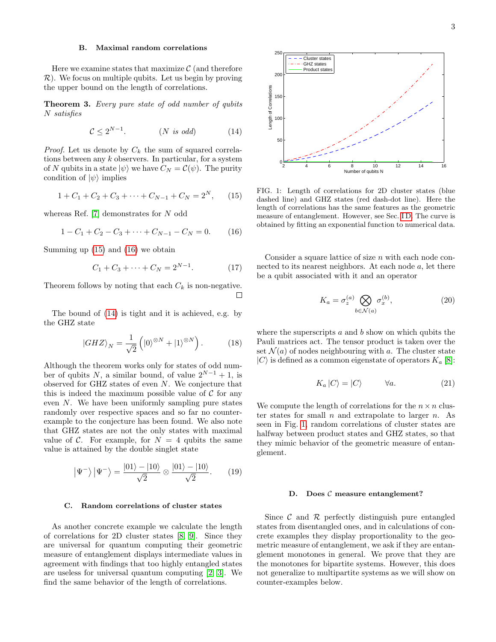### B. Maximal random correlations

Here we examine states that maximize  $\mathcal C$  (and therefore  $\mathcal{R}$ ). We focus on multiple qubits. Let us begin by proving the upper bound on the length of correlations.

**Theorem 3.** Every pure state of odd number of qubits N satisfies

$$
\mathcal{C} \le 2^{N-1}.\tag{N is odd} \tag{14}
$$

*Proof.* Let us denote by  $C_k$  the sum of squared correlations between any  $k$  observers. In particular, for a system of N qubits in a state  $|\psi\rangle$  we have  $C_N = \mathcal{C}(\psi)$ . The purity condition of  $|\psi\rangle$  implies

$$
1 + C_1 + C_2 + C_3 + \dots + C_{N-1} + C_N = 2^N, \qquad (15)
$$

whereas Ref. [\[7\]](#page-9-5) demonstrates for N odd

$$
1 - C_1 + C_2 - C_3 + \dots + C_{N-1} - C_N = 0. \tag{16}
$$

Summing up [\(15\)](#page-2-0) and [\(16\)](#page-2-1) we obtain

$$
C_1 + C_3 + \dots + C_N = 2^{N-1}.\tag{17}
$$

Theorem follows by noting that each  $C_k$  is non-negative.  $\Box$ 

The bound of [\(14\)](#page-2-2) is tight and it is achieved, e.g. by the GHZ state

$$
|GHZ\rangle_N = \frac{1}{\sqrt{2}} \left( |0\rangle^{\otimes N} + |1\rangle^{\otimes N} \right). \tag{18}
$$

Although the theorem works only for states of odd number of qubits N, a similar bound, of value  $2^{N-1} + 1$ , is observed for GHZ states of even N. We conjecture that this is indeed the maximum possible value of  $\mathcal C$  for any even N. We have been uniformly sampling pure states randomly over respective spaces and so far no counterexample to the conjecture has been found. We also note that GHZ states are not the only states with maximal value of C. For example, for  $N = 4$  qubits the same value is attained by the double singlet state

$$
|\Psi^{-}\rangle |\Psi^{-}\rangle = \frac{|01\rangle - |10\rangle}{\sqrt{2}} \otimes \frac{|01\rangle - |10\rangle}{\sqrt{2}}.
$$
 (19)

#### C. Random correlations of cluster states

As another concrete example we calculate the length of correlations for 2D cluster states [\[8,](#page-9-6) [9\]](#page-9-7). Since they are universal for quantum computing their geometric measure of entanglement displays intermediate values in agreement with findings that too highly entangled states are useless for universal quantum computing [\[2,](#page-9-1) [3\]](#page-9-2). We find the same behavior of the length of correlations.



<span id="page-2-4"></span><span id="page-2-2"></span><span id="page-2-0"></span>FIG. 1: Length of correlations for 2D cluster states (blue dashed line) and GHZ states (red dash-dot line). Here the length of correlations has the same features as the geometric measure of entanglement. However, see Sec. [I D.](#page-2-3) The curve is obtained by fitting an exponential function to numerical data.

<span id="page-2-1"></span>Consider a square lattice of size  $n$  with each node connected to its nearest neighbors. At each node  $a$ , let there be a qubit associated with it and an operator

$$
K_a = \sigma_z^{(a)} \bigotimes_{b \in \mathcal{N}(a)} \sigma_x^{(b)},\tag{20}
$$

<span id="page-2-5"></span>where the superscripts  $a$  and  $b$  show on which qubits the Pauli matrices act. The tensor product is taken over the set  $\mathcal{N}(a)$  of nodes neighbouring with a. The cluster state  $|C\rangle$  is defined as a common eigenstate of operators  $K_a$  [\[8\]](#page-9-6):

$$
K_a |C\rangle = |C\rangle \qquad \forall a. \tag{21}
$$

We compute the length of correlations for the  $n \times n$  cluster states for small  $n$  and extrapolate to larger  $n$ . As seen in Fig. [1,](#page-2-4) random correlations of cluster states are halfway between product states and GHZ states, so that they mimic behavior of the geometric measure of entanglement.

#### <span id="page-2-3"></span>D. Does  $C$  measure entanglement?

Since  $\mathcal C$  and  $\mathcal R$  perfectly distinguish pure entangled states from disentangled ones, and in calculations of concrete examples they display proportionality to the geometric measure of entanglement, we ask if they are entanglement monotones in general. We prove that they are the monotones for bipartite systems. However, this does not generalize to multipartite systems as we will show on counter-examples below.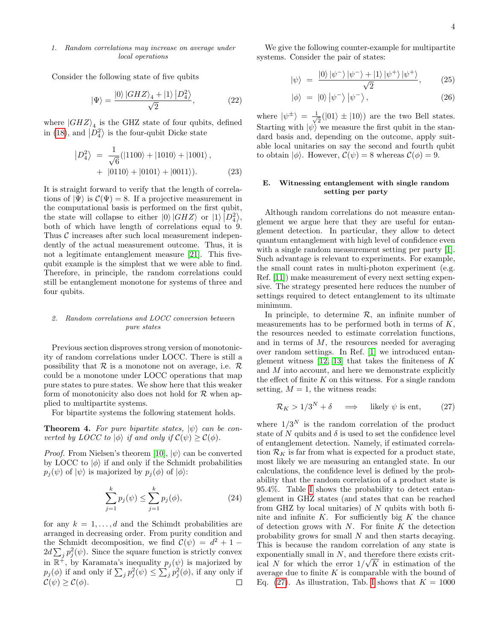### 1. Random correlations may increase on average under local operations

Consider the following state of five qubits

$$
|\Psi\rangle = \frac{|0\rangle|GHZ\rangle_4 + |1\rangle|D_4^2\rangle}{\sqrt{2}},\tag{22}
$$

where  $|GHZ\rangle_4$  is the GHZ state of four qubits, defined in [\(18\)](#page-2-5), and  $\left|D_4^2\right\rangle$  is the four-qubit Dicke state

$$
|D_4^2\rangle = \frac{1}{\sqrt{6}}(|1100\rangle + |1010\rangle + |1001\rangle, + |0110\rangle + |0101\rangle + |0011\rangle).
$$
 (23)

It is straight forward to verify that the length of correlations of  $|\Psi\rangle$  is  $\mathcal{C}(\Psi) = 8$ . If a projective measurement in the computational basis is performed on the first qubit, the state will collapse to either  $|0\rangle |GHZ\rangle$  or  $|1\rangle |D_4^2\rangle$ , both of which have length of correlations equal to 9. Thus  $C$  increases after such local measurement independently of the actual measurement outcome. Thus, it is not a legitimate entanglement measure [\[21\]](#page-9-8). This fivequbit example is the simplest that we were able to find. Therefore, in principle, the random correlations could still be entanglement monotone for systems of three and four qubits.

### 2. Random correlations and LOCC conversion between pure states

Previous section disproves strong version of monotonicity of random correlations under LOCC. There is still a possibility that  $\mathcal R$  is a monotone not on average, i.e.  $\mathcal R$ could be a monotone under LOCC operations that map pure states to pure states. We show here that this weaker form of monotonicity also does not hold for  $R$  when applied to multipartite systems.

For bipartite systems the following statement holds.

**Theorem 4.** For pure bipartite states,  $|\psi\rangle$  can be converted by LOCC to  $|\phi\rangle$  if and only if  $\mathcal{C}(\psi) \geq \mathcal{C}(\phi)$ .

*Proof.* From Nielsen's theorem [\[10\]](#page-9-9),  $|\psi\rangle$  can be converted by LOCC to  $|\phi\rangle$  if and only if the Schmidt probabilities  $p_j(\psi)$  of  $|\psi\rangle$  is majorized by  $p_j(\phi)$  of  $|\phi\rangle$ :

$$
\sum_{j=1}^{k} p_j(\psi) \le \sum_{j=1}^{k} p_j(\phi),
$$
\n(24)

for any  $k = 1, \ldots, d$  and the Schimdt probabilities are arranged in decreasing order. From purity condition and the Schmidt decomposition, we find  $\mathcal{C}(\psi) = d^2 + 1 2d\sum_j p_j^2(\psi)$ . Since the square function is strictly convex in  $\mathbb{R}^{\ddot{+}}$ , by Karamata's inequality  $p_j(\psi)$  is majorized by  $p_j(\phi)$  if and only if  $\sum_j p_j^2(\psi) \leq \sum_j p_j^2(\phi)$ , if any only if  $\mathcal{C}(\psi) > \mathcal{C}(\phi)$ .  $\Box$ 

We give the following counter-example for multipartite systems. Consider the pair of states:

$$
|\psi\rangle = \frac{|0\rangle|\psi^{-}\rangle|\psi^{-}\rangle + |1\rangle|\psi^{+}\rangle|\psi^{+}\rangle}{\sqrt{2}}, \qquad (25)
$$

$$
|\phi\rangle = |0\rangle |\psi^{-}\rangle |\psi^{-}\rangle, \qquad (26)
$$

where  $|\psi^{\pm}\rangle = \frac{1}{\sqrt{2}}$  $\frac{1}{2}(|01\rangle \pm |10\rangle)$  are the two Bell states. Starting with  $|\psi\rangle$  we measure the first qubit in the standard basis and, depending on the outcome, apply suitable local unitaries on say the second and fourth qubit to obtain  $|\phi\rangle$ . However,  $\mathcal{C}(\psi) = 8$  whereas  $\mathcal{C}(\phi) = 9$ .

# E. Witnessing entanglement with single random setting per party

Although random correlations do not measure entanglement we argue here that they are useful for entanglement detection. In particular, they allow to detect quantum entanglement with high level of confidence even with a single random measurement setting per party [\[1\]](#page-9-0). Such advantage is relevant to experiments. For example, the small count rates in multi-photon experiment (e.g. Ref. [\[11\]](#page-9-10)) make measurement of every next setting expensive. The strategy presented here reduces the number of settings required to detect entanglement to its ultimate minimum.

In principle, to determine  $R$ , an infinite number of measurements has to be performed both in terms of  $K$ , the resources needed to estimate correlation functions, and in terms of  $M$ , the resources needed for averaging over random settings. In Ref. [\[1\]](#page-9-0) we introduced entanglement witness  $[12, 13]$  $[12, 13]$  that takes the finiteness of K and M into account, and here we demonstrate explicitly the effect of finite  $K$  on this witness. For a single random setting,  $M = 1$ , the witness reads:

<span id="page-3-0"></span>
$$
\mathcal{R}_K > 1/3^N + \delta \quad \implies \quad \text{likely } \psi \text{ is ent}, \tag{27}
$$

where  $1/3^N$  is the random correlation of the product state of N qubits and  $\delta$  is used to set the confidence level of entanglement detection. Namely, if estimated correlation  $\mathcal{R}_K$  is far from what is expected for a product state, most likely we are measuring an entangled state. In our calculations, the confidence level is defined by the probability that the random correlation of a product state is 95.4%. Table [I](#page-4-1) shows the probability to detect entanglement in GHZ states (and states that can be reached from GHZ by local unitaries) of  $N$  qubits with both finite and infinite  $K$ . For sufficiently big  $K$  the chance of detection grows with  $N$ . For finite  $K$  the detection probability grows for small N and then starts decaying. This is because the random correlation of any state is exponentially small in  $N$ , and therefore there exists critical N for which the error  $1/\sqrt{K}$  in estimation of the average due to finite  $K$  is comparable with the bound of Eq. [\(27\)](#page-3-0). As illustration, Tab. [I](#page-4-1) shows that  $K = 1000$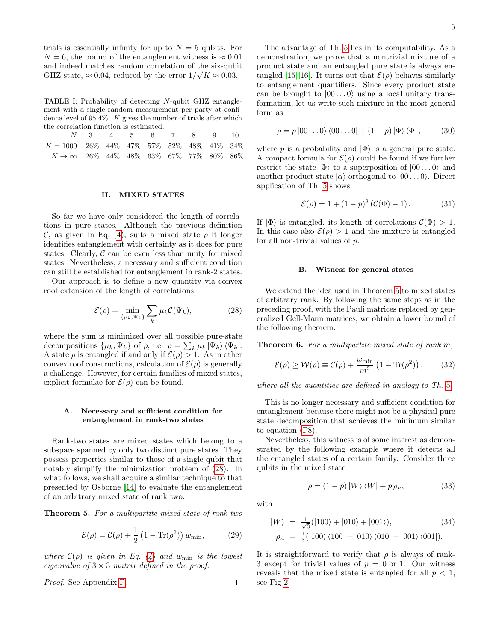trials is essentially infinity for up to  $N = 5$  qubits. For  $N = 6$ , the bound of the entanglement witness is  $\approx 0.01$ and indeed matches random correlation of the six-qubit √ GHZ state,  $\approx 0.04$ , reduced by the error  $1/\sqrt{K} \approx 0.03$ .

<span id="page-4-1"></span>TABLE I: Probability of detecting N-qubit GHZ entanglement with a single random measurement per party at confidence level of 95.4%. K gives the number of trials after which the correlation function is estimated.

|                                                                                                                                                                                               | $N \  3$ 4 5 6 7 8 9 10 |  |  |  |  |
|-----------------------------------------------------------------------------------------------------------------------------------------------------------------------------------------------|-------------------------|--|--|--|--|
|                                                                                                                                                                                               |                         |  |  |  |  |
| $\begin{tabular}{c cccccc} $K=1000$ & 26\% & 44\% & 47\% & 57\% & 52\% & 48\% & 41\% & 34\% \\ $K\rightarrow\infty$ & 26\% & 44\% & 48\% & 63\% & 67\% & 77\% & 80\% & 86\% \\ \end{tabular}$ |                         |  |  |  |  |

## <span id="page-4-0"></span>II. MIXED STATES

So far we have only considered the length of correlations in pure states. Although the previous definition C, as given in Eq. [\(4\)](#page-1-2), suits a mixed state  $\rho$  it longer identifies entanglement with certainty as it does for pure states. Clearly,  $C$  can be even less than unity for mixed states. Nevertheless, a necessary and sufficient condition can still be established for entanglement in rank-2 states.

Our approach is to define a new quantity via convex roof extension of the length of correlations:

$$
\mathcal{E}(\rho) = \min_{\{\mu_k, \Psi_k\}} \sum_k \mu_k \mathcal{C}(\Psi_k),\tag{28}
$$

where the sum is minimized over all possible pure-state decompositions  $\{\mu_k, \Psi_k\}$  of  $\rho$ , i.e.  $\rho = \sum_k \mu_k |\Psi_k\rangle \langle \Psi_k|$ . A state  $\rho$  is entangled if and only if  $\mathcal{E}(\rho) > 1$ . As in other convex roof constructions, calculation of  $\mathcal{E}(\rho)$  is generally a challenge. However, for certain families of mixed states, explicit formulae for  $\mathcal{E}(\rho)$  can be found.

### A. Necessary and sufficient condition for entanglement in rank-two states

Rank-two states are mixed states which belong to a subspace spanned by only two distinct pure states. They possess properties similar to those of a single qubit that notably simplify the minimization problem of [\(28\)](#page-4-2). In what follows, we shall acquire a similar technique to that presented by Osborne [\[14\]](#page-9-13) to evaluate the entanglement of an arbitrary mixed state of rank two.

<span id="page-4-3"></span>Theorem 5. For a multipartite mixed state of rank two

$$
\mathcal{E}(\rho) = \mathcal{C}(\rho) + \frac{1}{2} \left( 1 - \text{Tr}(\rho^2) \right) w_{\text{min}}, \qquad (29)
$$

where  $\mathcal{C}(\rho)$  is given in Eq. [\(4\)](#page-1-2) and  $w_{\text{min}}$  is the lowest eigenvalue of  $3 \times 3$  matrix defined in the proof.

Proof. See Appendix [F.](#page-8-0)

The advantage of Th. [5](#page-4-3) lies in its computability. As a demonstration, we prove that a nontrivial mixture of a product state and an entangled pure state is always en-tangled [\[15,](#page-9-14) [16\]](#page-9-15). It turns out that  $\mathcal{E}(\rho)$  behaves similarly to entanglement quantifiers. Since every product state can be brought to  $|00...0\rangle$  using a local unitary transformation, let us write such mixture in the most general form as

$$
\rho = p |00...0\rangle \langle 00...0| + (1-p) |\Phi\rangle \langle \Phi|, \qquad (30)
$$

where p is a probability and  $|\Phi\rangle$  is a general pure state. A compact formula for  $\mathcal{E}(\rho)$  could be found if we further restrict the state  $|\Phi\rangle$  to a superposition of  $|00...0\rangle$  and another product state  $|\alpha\rangle$  orthogonal to  $|00...0\rangle$ . Direct application of Th. [5](#page-4-3) shows

$$
\mathcal{E}(\rho) = 1 + (1 - p)^2 (\mathcal{C}(\Phi) - 1). \tag{31}
$$

If  $|\Phi\rangle$  is entangled, its length of correlations  $\mathcal{C}(\Phi) > 1$ . In this case also  $\mathcal{E}(\rho) > 1$  and the mixture is entangled for all non-trivial values of p.

#### B. Witness for general states

<span id="page-4-2"></span>We extend the idea used in Theorem [5](#page-4-3) to mixed states of arbitrary rank. By following the same steps as in the preceding proof, with the Pauli matrices replaced by generalized Gell-Mann matrices, we obtain a lower bound of the following theorem.

Theorem 6. For a multipartite mixed state of rank m,

<span id="page-4-4"></span>
$$
\mathcal{E}(\rho) \ge \mathcal{W}(\rho) \equiv \mathcal{C}(\rho) + \frac{w_{\min}}{m^2} \left( 1 - \text{Tr}(\rho^2) \right), \quad (32)
$$

where all the quantities are defined in analogy to Th. [5](#page-4-3).

This is no longer necessary and sufficient condition for entanglement because there might not be a physical pure state decomposition that achieves the minimum similar to equation [\(F8\)](#page-9-16).

Nevertheless, this witness is of some interest as demonstrated by the following example where it detects all the entangled states of a certain family. Consider three qubits in the mixed state

<span id="page-4-5"></span>
$$
\rho = (1 - p) |W\rangle \langle W| + p \rho_n, \qquad (33)
$$

with

 $\Box$ 

$$
|W\rangle = \frac{1}{\sqrt{3}}(|100\rangle + |010\rangle + |001\rangle),
$$
 (34)  

$$
\rho_n = \frac{1}{3}(|100\rangle\langle 100| + |010\rangle\langle 010| + |001\rangle\langle 001|).
$$

It is straightforward to verify that  $\rho$  is always of rank-3 except for trivial values of  $p = 0$  or 1. Our witness reveals that the mixed state is entangled for all  $p < 1$ , see Fig [2.](#page-5-2)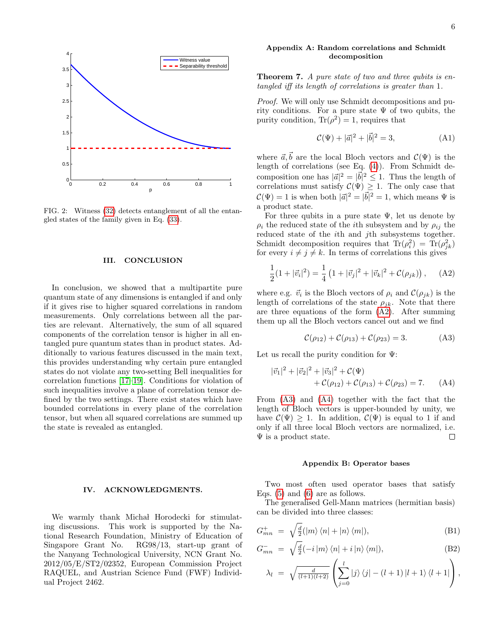

<span id="page-5-2"></span>FIG. 2: Witness [\(32\)](#page-4-4) detects entanglement of all the entangled states of the family given in Eq. [\(33\)](#page-4-5).

#### III. CONCLUSION

In conclusion, we showed that a multipartite pure quantum state of any dimensions is entangled if and only if it gives rise to higher squared correlations in random measurements. Only correlations between all the parties are relevant. Alternatively, the sum of all squared components of the correlation tensor is higher in all entangled pure quantum states than in product states. Additionally to various features discussed in the main text, this provides understanding why certain pure entangled states do not violate any two-setting Bell inequalities for correlation functions [\[17](#page-9-17)[–19\]](#page-9-18). Conditions for violation of such inequalities involve a plane of correlation tensor defined by the two settings. There exist states which have bounded correlations in every plane of the correlation tensor, but when all squared correlations are summed up the state is revealed as entangled.

## IV. ACKNOWLEDGMENTS.

We warmly thank Michal Horodecki for stimulating discussions. This work is supported by the National Research Foundation, Ministry of Education of Singapore Grant No. RG98/13, start-up grant of the Nanyang Technological University, NCN Grant No. 2012/05/E/ST2/02352, European Commission Project RAQUEL, and Austrian Science Fund (FWF) Individual Project 2462.

### <span id="page-5-0"></span>Appendix A: Random correlations and Schmidt decomposition

Theorem 7. A pure state of two and three qubits is entangled iff its length of correlations is greater than 1.

Proof. We will only use Schmidt decompositions and purity conditions. For a pure state  $\Psi$  of two qubits, the purity condition,  $\text{Tr}(\rho^2) = 1$ , requires that

$$
\mathcal{C}(\Psi) + |\vec{a}|^2 + |\vec{b}|^2 = 3,
$$
 (A1)

where  $\vec{a}, \vec{b}$  are the local Bloch vectors and  $\mathcal{C}(\Psi)$  is the length of correlations (see Eq. [\(4\)](#page-1-2)). From Schmidt decomposition one has  $|\vec{a}|^2 = |\vec{b}|^2 \leq 1$ . Thus the length of correlations must satisfy  $\mathcal{C}(\Psi) \geq 1$ . The only case that  $\mathcal{C}(\Psi) = 1$  is when both  $|\vec{a}|^2 = |\vec{b}|^2 = 1$ , which means  $\Psi$  is a product state.

For three qubits in a pure state  $\Psi$ , let us denote by  $\rho_i$  the reduced state of the *i*th subsystem and by  $\rho_{ij}$  the reduced state of the ith and jth subsystems together. Schmidt decomposition requires that  $\text{Tr}(\rho_i^2) = \text{Tr}(\rho_{jk}^2)$ for every  $i \neq j \neq k$ . In terms of correlations this gives

$$
\frac{1}{2}(1+|\vec{v}_i|^2) = \frac{1}{4}(1+|\vec{v}_j|^2 + |\vec{v}_k|^2 + C(\rho_{jk}))\,,\quad\text{(A2)}
$$

where e.g.  $\vec{v}_i$  is the Bloch vectors of  $\rho_i$  and  $\mathcal{C}(\rho_{jk})$  is the length of correlations of the state  $\rho_{jk}$ . Note that there are three equations of the form  $(A2)$ . After summing them up all the Bloch vectors cancel out and we find

<span id="page-5-5"></span><span id="page-5-4"></span><span id="page-5-3"></span>
$$
\mathcal{C}(\rho_{12}) + \mathcal{C}(\rho_{13}) + \mathcal{C}(\rho_{23}) = 3. \tag{A3}
$$

Let us recall the purity condition for  $\Psi$ :

$$
|\vec{v}_1|^2 + |\vec{v}_2|^2 + |\vec{v}_3|^2 + \mathcal{C}(\Psi) + \mathcal{C}(\rho_{12}) + \mathcal{C}(\rho_{13}) + \mathcal{C}(\rho_{23}) = 7.
$$
 (A4)

From [\(A3\)](#page-5-4) and [\(A4\)](#page-5-5) together with the fact that the length of Bloch vectors is upper-bounded by unity, we have  $\mathcal{C}(\Psi) \geq 1$ . In addition,  $\mathcal{C}(\Psi)$  is equal to 1 if and only if all three local Bloch vectors are normalized, i.e.  $\Psi$  is a product state.  $\Box$ 

#### <span id="page-5-1"></span>Appendix B: Operator bases

Two most often used operator bases that satisfy Eqs. [\(5\)](#page-1-0) and [\(6\)](#page-1-1) are as follows.

The generalised Gell-Mann matrices (hermitian basis) can be divided into three classes:

$$
G_{mn}^+ = \sqrt{\frac{d}{2}} (|m\rangle \langle n| + |n\rangle \langle m|), \tag{B1}
$$

$$
G_{mn}^{-} = \sqrt{\frac{d}{2}}(-i|m\rangle\langle n| + i|n\rangle\langle m|), \tag{B2}
$$

$$
\lambda_l = \sqrt{\frac{d}{(l+1)(l+2)}} \left( \sum_{j=0}^l |j\rangle \langle j| - (l+1) |l+1\rangle \langle l+1| \right),
$$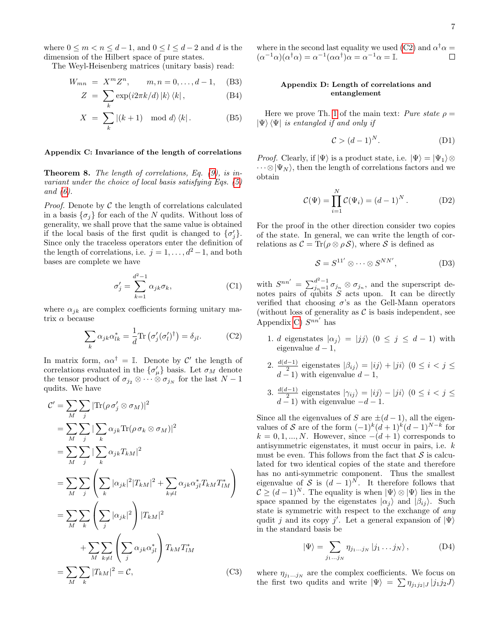where  $0 \le m < n \le d-1$ , and  $0 \le l \le d-2$  and d is the dimension of the Hilbert space of pure states.

The Weyl-Heisenberg matrices (unitary basis) read:

$$
W_{mn} = X^m Z^n, \qquad m, n = 0, \dots, d - 1, \quad (B3)
$$

$$
Z = \sum_{k} \exp(i2\pi k/d) |k\rangle \langle k|, \qquad (B4)
$$

$$
X = \sum_{k} |(k+1) \mod d\rangle \langle k|.
$$
 (B5)

### <span id="page-6-0"></span>Appendix C: Invariance of the length of correlations

**Theorem 8.** The length of correlations, Eq.  $(9)$ , is invariant under the choice of local basis satisfying Eqs. [\(5\)](#page-1-0) and [\(6\)](#page-1-1).

*Proof.* Denote by  $\mathcal C$  the length of correlations calculated in a basis  $\{\sigma_i\}$  for each of the N qudits. Without loss of generality, we shall prove that the same value is obtained if the local basis of the first qudit is changed to  $\{\sigma'_j\}$ . Since only the traceless operators enter the definition of the length of correlations, i.e.  $j = 1, \ldots, d^2 - 1$ , and both bases are complete we have

$$
\sigma_j' = \sum_{k=1}^{d^2 - 1} \alpha_{jk} \sigma_k,
$$
\n(C1)

where  $\alpha_{jk}$  are complex coefficients forming unitary matrix  $\alpha$  because

$$
\sum_{k} \alpha_{jk} \alpha_{lk}^* = \frac{1}{d} \text{Tr} \left( \sigma_j' (\sigma_l')^{\dagger} \right) = \delta_{jl}. \tag{C2}
$$

In matrix form,  $\alpha \alpha^{\dagger} = \mathbb{I}$ . Denote by  $\mathcal{C}'$  the length of correlations evaluated in the  $\{\sigma_{\mu}^{\prime}\}\$  basis. Let  $\sigma_{M}$  denote the tensor product of  $\sigma_{i_2} \otimes \cdots \otimes \sigma_{i_N}$  for the last  $N-1$ qudits. We have

$$
C' = \sum_{M} \sum_{j} |\text{Tr}(\rho \sigma'_{j} \otimes \sigma_{M})|^{2}
$$
  
\n
$$
= \sum_{M} \sum_{j} |\sum_{k} \alpha_{jk} \text{Tr}(\rho \sigma_{k} \otimes \sigma_{M})|^{2}
$$
  
\n
$$
= \sum_{M} \sum_{j} |\sum_{k} \alpha_{jk} T_{kM}|^{2}
$$
  
\n
$$
= \sum_{M} \sum_{j} (\sum_{k} |\alpha_{jk}|^{2} |T_{kM}|^{2} + \sum_{k \neq l} \alpha_{jk} \alpha_{jl}^{*} T_{kM} T_{lM}^{*})
$$
  
\n
$$
= \sum_{M} \sum_{k} (\sum_{j} |\alpha_{jk}|^{2}) |T_{kM}|^{2}
$$
  
\n
$$
+ \sum_{M} \sum_{k \neq l} (\sum_{j} \alpha_{jk} \alpha_{jl}^{*}) T_{kM} T_{lM}^{*}
$$
  
\n
$$
= \sum_{M} \sum_{k} |T_{kM}|^{2} = C,
$$
 (C3)

#### where in the second last equality we used [\(C2\)](#page-6-2) and  $\alpha^{\dagger} \alpha =$  $(\alpha^{-1}\alpha)(\alpha^{\dagger}\alpha) = \alpha^{-1}(\alpha\alpha^{\dagger})\alpha = \alpha^{-1}\alpha = \mathbb{I}.$  $\Box$

### <span id="page-6-1"></span>Appendix D: Length of correlations and entanglement

Here we prove Th. [1](#page-1-4) of the main text: Pure state  $\rho =$  $|\Psi\rangle$   $\langle \Psi|$  is entangled if and only if

$$
\mathcal{C} > (d-1)^N. \tag{D1}
$$

*Proof.* Clearly, if  $|\Psi\rangle$  is a product state, i.e.  $|\Psi\rangle = |\Psi_1\rangle \otimes$  $\cdots \otimes |\Psi_N\rangle$ , then the length of correlations factors and we obtain

$$
\mathcal{C}(\Psi) = \prod_{i=1}^{N} \mathcal{C}(\Psi_i) = (d-1)^N.
$$
 (D2)

For the proof in the other direction consider two copies of the state. In general, we can write the length of correlations as  $\mathcal{C} = \text{Tr}(\rho \otimes \rho \mathcal{S})$ , where S is defined as

$$
S = S^{11'} \otimes \cdots \otimes S^{NN'}, \tag{D3}
$$

with  $S^{nn'} = \sum_{j_n=1}^{d^2-1} \sigma_{j_n} \otimes \sigma_{j_n}$ , and the superscript denotes pairs of qubits S acts upon. It can be directly verified that choosing  $\sigma$ 's as the Gell-Mann operators (without loss of generality as  $\mathcal C$  is basis independent, see Appendix [C\)](#page-6-0)  $S^{nn'}$  has

- <span id="page-6-2"></span>1. d eigenstates  $|\alpha_j\rangle = |jj\rangle$   $(0 \le j \le d-1)$  with eigenvalue  $d-1$ ,
- 2.  $\frac{d(d-1)}{2}$  eigenstates  $|\beta_{ij}\rangle = |ij\rangle + |ji\rangle$   $(0 \leq i \leq j \leq$  $d-1$ ) with eigenvalue  $d-1$ ,
- 3.  $\frac{d(d-1)}{2}$  eigenstates  $|\gamma_{ij}\rangle = |ij\rangle |ji\rangle$   $(0 \leq i \leq j \leq j)$  $d-1$ ) with eigenvalue  $-d-1$ .

Since all the eigenvalues of S are  $\pm(d-1)$ , all the eigenvalues of S are of the form  $(-1)^k (d+1)^k (d-1)^{N-k}$  for  $k = 0, 1, ..., N$ . However, since  $-(d+1)$  corresponds to antisymmetric eigenstates, it must occur in pairs, i.e. k must be even. This follows from the fact that  $S$  is calculated for two identical copies of the state and therefore has no anti-symmetric component. Thus the smallest eigenvalue of S is  $(d-1)^N$ . It therefore follows that  $C \geq (d-1)^N$ . The equality is when  $|\Psi\rangle \otimes |\Psi\rangle$  lies in the space spanned by the eigenstates  $|\alpha_i\rangle$  and  $|\beta_{ij}\rangle$ . Such state is symmetric with respect to the exchange of any qudit j and its copy j'. Let a general expansion of  $|\Psi\rangle$ in the standard basis be

$$
|\Psi\rangle = \sum_{j_1...j_N} \eta_{j_1...j_N} |j_1...j_N\rangle, \qquad (D4)
$$

where  $\eta_{j_1...j_N}$  are the complex coefficients. We focus on the first two qudits and write  $|\Psi\rangle = \sum \eta_{j_1 j_2} |j_1 j_2 J\rangle$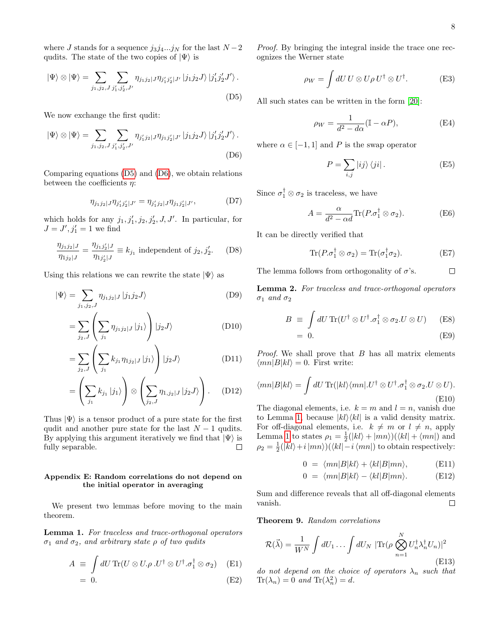where J stands for a sequence  $j_3j_4...j_N$  for the last  $N-2$ qudits. The state of the two copies of  $|\Psi\rangle$  is

$$
|\Psi\rangle \otimes |\Psi\rangle = \sum_{j_1, j_2, J} \sum_{j'_1, j'_2, J'} \eta_{j_1 j_2} |J \eta_{j'_1 j'_2} |J' |j_1 j_2 J\rangle |j'_1 j'_2 J'\rangle.
$$
\n(D5)

We now exchange the first qudit:

$$
|\Psi\rangle \otimes |\Psi\rangle = \sum_{j_1, j_2, J} \sum_{j'_1, j'_2, J'} \eta_{j'_1 j_2 | J} \eta_{j_1 j'_2 | J'} |j_1 j_2 J\rangle |j'_1 j'_2 J'\rangle.
$$
\n(D6)

Comparing equations [\(D5\)](#page-7-1) and [\(D6\)](#page-7-2), we obtain relations between the coefficients  $\eta$ :

$$
\eta_{j_1 j_2} |_{J} \eta_{j'_1 j'_2} |_{J'} = \eta_{j'_1 j_2} |_{J} \eta_{j_1 j'_2} |_{J'}, \tag{D7}
$$

which holds for any  $j_1, j'_1, j_2, j'_2, J, J'$ . In particular, for  $J = J', j'_1 = 1$  we find

$$
\frac{\eta_{j_1 j_2 | J}}{\eta_{1 j_2 | J}} = \frac{\eta_{j_1 j_2' | J}}{\eta_{1 j_2' | J}} \equiv k_{j_1} \text{ independent of } j_2, j_2'.
$$
 (D8)

Using this relations we can rewrite the state  $|\Psi\rangle$  as

$$
|\Psi\rangle = \sum_{j_1,j_2,J} \eta_{j_1j_2|J} |j_1j_2J\rangle
$$
 (D9)

$$
=\sum_{j_2,J}\left(\sum_{j_1}\eta_{j_1j_2|J}|j_1\rangle\right)|j_2J\rangle
$$
 (D10)

$$
=\sum_{j_2,J}\left(\sum_{j_1}k_{j_1}\eta_{1j_2|J}|j_1\rangle\right)|j_2J\rangle
$$
 (D11)

$$
= \left(\sum_{j_1} k_{j_1} |j_1\rangle\right) \otimes \left(\sum_{j_2, J} \eta_{1,j_2|J} |j_2 J\rangle\right). \quad (D12)
$$

Thus  $|\Psi\rangle$  is a tensor product of a pure state for the first qudit and another pure state for the last  $N-1$  qudits. By applying this argument iteratively we find that  $|\Psi\rangle$  is fully separable.  $\Box$ 

### <span id="page-7-0"></span>Appendix E: Random correlations do not depend on the initial operator in averaging

We present two lemmas before moving to the main theorem.

<span id="page-7-3"></span>Lemma 1. For traceless and trace-orthogonal operators σ<sub>1</sub> and σ<sub>2</sub>, and arbitrary state  $ρ$  of two qudits

$$
A \equiv \int dU \operatorname{Tr}(U \otimes U. \rho . U^{\dagger} \otimes U^{\dagger} . \sigma_1^{\dagger} \otimes \sigma_2) \quad \text{(E1)}
$$

$$
= 0. \t\t (E2)
$$

Proof. By bringing the integral inside the trace one recognizes the Werner state

$$
\rho_W = \int dU \, U \otimes U \rho \, U^{\dagger} \otimes U^{\dagger}.
$$
 (E3)

<span id="page-7-1"></span>All such states can be written in the form [\[20\]](#page-9-19):

$$
\rho_W = \frac{1}{d^2 - d\alpha} (\mathbb{I} - \alpha P), \tag{E4}
$$

<span id="page-7-2"></span>where  $\alpha \in [-1, 1]$  and P is the swap operator

$$
P = \sum_{i,j} |ij\rangle\langle ji|.
$$
 (E5)

Since  $\sigma_1^{\dagger} \otimes \sigma_2$  is traceless, we have

$$
A = \frac{\alpha}{d^2 - \alpha d} \text{Tr}(P \cdot \sigma_1^{\dagger} \otimes \sigma_2).
$$
 (E6)

It can be directly verified that

$$
\operatorname{Tr}(P.\sigma_1^{\dagger} \otimes \sigma_2) = \operatorname{Tr}(\sigma_1^{\dagger} \sigma_2). \tag{E7}
$$

The lemma follows from orthogonality of  $\sigma$ 's.  $\Box$ 

<span id="page-7-4"></span>Lemma 2. For traceless and trace-orthogonal operators  $\sigma_1$  and  $\sigma_2$ 

$$
B \equiv \int dU \operatorname{Tr}(U^{\dagger} \otimes U^{\dagger}.\sigma_1^{\dagger} \otimes \sigma_2.U \otimes U)
$$
 (E8)  
= 0. (E9)

$$
= 0. \tag{LJ}
$$

*Proof.* We shall prove that  $B$  has all matrix elements  $\langle mn|B|kl\rangle = 0$ . First write:

$$
\langle mn|B|kl\rangle = \int dU \operatorname{Tr}(|kl\rangle\langle mn|U^{\dagger} \otimes U^{\dagger}.\sigma_1^{\dagger} \otimes \sigma_2.U \otimes U).
$$
\n(E10)

The diagonal elements, i.e.  $k = m$  and  $l = n$ , vanish due to Lemma [1,](#page-7-3) because  $|kl\rangle\langle kl|$  is a valid density matrix. For off-diagonal elements, i.e.  $k \neq m$  or  $l \neq n$ , apply Lemma [1](#page-7-3) to states  $\rho_1 = \frac{1}{2}(|kl\rangle + |mn\rangle)(\langle kl| + \langle mn|)$  and  $\rho_2 = \frac{1}{2}(|kl\rangle + i |mn\rangle)(\langle kl| - i \langle mn|)$  to obtain respectively:

$$
0 = \langle mn|B|kl\rangle + \langle kl|B|mn\rangle, \qquad \text{(E11)}
$$

$$
0 = \langle mn|B|kl\rangle - \langle kl|B|mn\rangle. \quad (E12)
$$

Sum and difference reveals that all off-diagonal elements vanish.  $\Box$ 

Theorem 9. Random correlations

$$
\mathcal{R}(\vec{\lambda}) = \frac{1}{W^N} \int dU_1 \dots \int dU_N \, |\text{Tr}(\rho \bigotimes_{n=1}^N U_n^{\dagger} \lambda_n^{\dagger} U_n)|^2
$$
\n(E13)

do not depend on the choice of operators  $\lambda_n$  such that  $\text{Tr}(\lambda_n) = 0$  and  $\text{Tr}(\lambda_n^2) = d$ .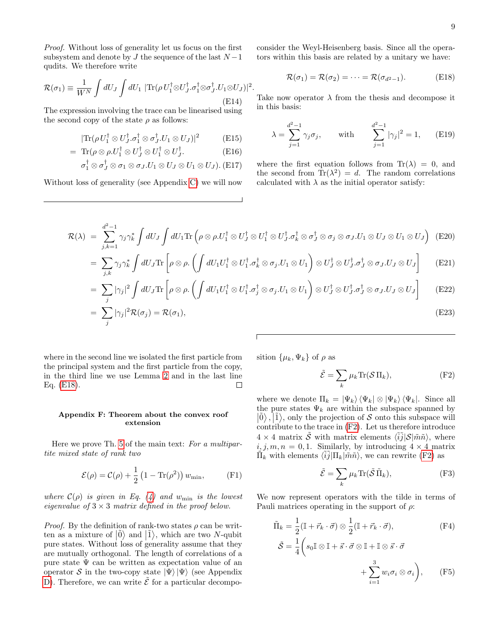Proof. Without loss of generality let us focus on the first subsystem and denote by  $J$  the sequence of the last  $N-1$ qudits. We therefore write

$$
\mathcal{R}(\sigma_1) \equiv \frac{1}{W^N} \int dU_J \int dU_1 \; |\text{Tr}(\rho U_1^\dagger \otimes U_J^\dagger \cdot \sigma_1^\dagger \otimes \sigma_J^\dagger \cdot U_1 \otimes U_J)|^2
$$
\n(E14)

The expression involving the trace can be linearised using the second copy of the state  $\rho$  as follows:

$$
|\text{Tr}(\rho U_1^{\dagger} \otimes U_J^{\dagger} \sigma_1^{\dagger} \otimes \sigma_J^{\dagger} U_1 \otimes U_J)|^2 \tag{E15}
$$

$$
= \operatorname{Tr}(\rho \otimes \rho.U_1^{\dagger} \otimes U_J^{\dagger} \otimes U_1^{\dagger} \otimes U_J^{\dagger}.
$$
 (E16)

$$
\sigma_1^{\dagger} \otimes \sigma_J^{\dagger} \otimes \sigma_1 \otimes \sigma_J.U_1 \otimes U_J \otimes U_1 \otimes U_J). (E17)
$$

Without loss of generality (see Appendix [C\)](#page-6-0) we will now

consider the Weyl-Heisenberg basis. Since all the operators within this basis are related by a unitary we have:

<span id="page-8-1"></span>
$$
\mathcal{R}(\sigma_1) = \mathcal{R}(\sigma_2) = \dots = \mathcal{R}(\sigma_{d^2-1}).
$$
 (E18)

Take now operator  $\lambda$  from the thesis and decompose it in this basis:

$$
\lambda = \sum_{j=1}^{d^2 - 1} \gamma_j \sigma_j, \quad \text{with} \quad \sum_{j=1}^{d^2 - 1} |\gamma_j|^2 = 1, \quad \text{(E19)}
$$

where the first equation follows from  $\text{Tr}(\lambda) = 0$ , and the second from  $\text{Tr}(\lambda^2) = d$ . The random correlations calculated with  $\lambda$  as the initial operator satisfy:

$$
\mathcal{R}(\lambda) = \sum_{j,k=1}^{d^2-1} \gamma_j \gamma_k^* \int dU_J \int dU_1 \text{Tr} \left( \rho \otimes \rho U_1^\dagger \otimes U_J^\dagger \otimes U_1^\dagger \otimes U_J^\dagger \sigma_k^\dagger \otimes \sigma_J^\dagger \otimes \sigma_J \otimes \sigma_J U_1 \otimes U_J \otimes U_1 \otimes U_J \right) \tag{E20}
$$

.

$$
= \sum_{j,k} \gamma_j \gamma_k^* \int dU_J \text{Tr} \left[ \rho \otimes \rho. \left( \int dU_1 U_1^\dagger \otimes U_1^\dagger. \sigma_k^\dagger \otimes \sigma_j. U_1 \otimes U_1 \right) \otimes U_J^\dagger \otimes U_J^\dagger. \sigma_J^\dagger \otimes \sigma_J. U_J \otimes U_J \right] \tag{E21}
$$

$$
= \sum_j |\gamma_j|^2 \int dU_J \text{Tr} \left[ \rho \otimes \rho. \left( \int dU_1 U_1^\dagger \otimes U_1^\dagger. \sigma_j^\dagger \otimes \sigma_j. U_1 \otimes U_1 \right) \otimes U_J^\dagger \otimes U_J^\dagger. \sigma_J^\dagger \otimes \sigma_J. U_J \otimes U_J \right] \tag{E22}
$$

$$
= \sum_{j}^{\prime} |\gamma_j|^2 \mathcal{R}(\sigma_j) = \mathcal{R}(\sigma_1), \tag{E23}
$$

where in the second line we isolated the first particle from the principal system and the first particle from the copy, in the third line we use Lemma [2](#page-7-4) and in the last line Eq. [\(E18\)](#page-8-1).  $\Box$ 

### <span id="page-8-0"></span>Appendix F: Theorem about the convex roof extension

Here we prove Th. [5](#page-4-3) of the main text: For a multipartite mixed state of rank two

$$
\mathcal{E}(\rho) = \mathcal{C}(\rho) + \frac{1}{2} \left( 1 - \text{Tr}(\rho^2) \right) w_{\text{min}}, \qquad \text{(F1)}
$$

where  $\mathcal{C}(\rho)$  is given in Eq. [\(4\)](#page-1-2) and  $w_{\text{min}}$  is the lowest eigenvalue of  $3 \times 3$  matrix defined in the proof below.

*Proof.* By the definition of rank-two states  $\rho$  can be written as a mixture of  $|\tilde{0}\rangle$  and  $|\tilde{1}\rangle$ , which are two N-qubit pure states. Without loss of generality assume that they are mutually orthogonal. The length of correlations of a pure state  $\Psi$  can be written as expectation value of an operator S in the two-copy state  $|\Psi\rangle |\Psi\rangle$  (see Appendix [D\)](#page-6-1). Therefore, we can write  $\tilde{\mathcal{E}}$  for a particular decomposition  $\{\mu_k, \Psi_k\}$  of  $\rho$  as

<span id="page-8-2"></span>
$$
\tilde{\mathcal{E}} = \sum_{k} \mu_k \text{Tr}(\mathcal{S} \Pi_k),\tag{F2}
$$

where we denote  $\Pi_k = |\Psi_k\rangle \langle \Psi_k| \otimes |\Psi_k\rangle \langle \Psi_k|$ . Since all the pure states  $\Psi_k$  are within the subspace spanned by  $|\tilde{0}\rangle$ ,  $|\tilde{1}\rangle$ , only the projection of S onto this subspace will contribute to the trace in [\(F2\)](#page-8-2). Let us therefore introduce  $4 \times 4$  matrix  $\tilde{\mathcal{S}}$  with matrix elements  $\langle \tilde{i}\tilde{j}|\mathcal{S}|\tilde{m}\tilde{n}\rangle$ , where  $i, j, m, n = 0, 1$ . Similarly, by introducing  $4 \times 4$  matrix  $\tilde{\Pi}_k$  with elements  $\langle \tilde{i}\tilde{j}|\Pi_k|\tilde{m}\tilde{n}\rangle$ , we can rewrite [\(F2\)](#page-8-2) as

<span id="page-8-3"></span>
$$
\tilde{\mathcal{E}} = \sum_{k} \mu_k \text{Tr}(\tilde{\mathcal{S}} \, \tilde{\Pi}_k),\tag{F3}
$$

We now represent operators with the tilde in terms of Pauli matrices operating in the support of  $\rho$ :

$$
\tilde{\Pi}_{k} = \frac{1}{2} (\mathbb{I} + \vec{r}_{k} \cdot \vec{\sigma}) \otimes \frac{1}{2} (\mathbb{I} + \vec{r}_{k} \cdot \vec{\sigma}),
$$
\n(F4)\n
$$
\tilde{\mathcal{S}} = \frac{1}{4} \left( s_{0} \mathbb{I} \otimes \mathbb{I} + \vec{s} \cdot \vec{\sigma} \otimes \mathbb{I} + \mathbb{I} \otimes \vec{s} \cdot \vec{\sigma} + \sum_{i=1}^{3} w_{i} \sigma_{i} \otimes \sigma_{i} \right),
$$
\n(F5)